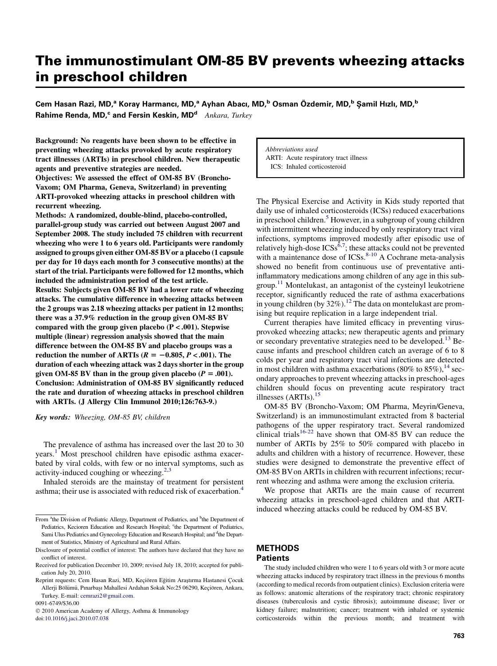# The immunostimulant OM-85 BV prevents wheezing attacks in preschool children

Cem Hasan Razi, MD,<sup>a</sup> Koray Harmancı, MD,<sup>a</sup> Ayhan Abacı, MD,<sup>b</sup> Osman Özdemir, MD,<sup>b</sup> Şamil Hızlı, MD,<sup>b</sup> Rahime Renda, MD,<sup>c</sup> and Fersin Keskin, MD<sup>d</sup> Ankara, Turkey

Background: No reagents have been shown to be effective in preventing wheezing attacks provoked by acute respiratory tract illnesses (ARTIs) in preschool children. New therapeutic agents and preventive strategies are needed.

Objectives: We assessed the effect of OM-85 BV (Broncho-Vaxom; OM Pharma, Geneva, Switzerland) in preventing ARTI-provoked wheezing attacks in preschool children with recurrent wheezing.

Methods: A randomized, double-blind, placebo-controlled, parallel-group study was carried out between August 2007 and September 2008. The study included 75 children with recurrent wheezing who were 1 to 6 years old. Participants were randomly assigned to groups given either OM-85 BVor a placebo (1 capsule per day for 10 days each month for 3 consecutive months) at the start of the trial. Participants were followed for 12 months, which included the administration period of the test article. Results: Subjects given OM-85 BV had a lower rate of wheezing attacks. The cumulative difference in wheezing attacks between the 2 groups was 2.18 wheezing attacks per patient in 12 months; there was a 37.9% reduction in the group given OM-85 BV compared with the group given placebo  $(P < .001)$ . Stepwise multiple (linear) regression analysis showed that the main difference between the OM-85 BV and placebo groups was a reduction the number of ARTIs ( $R = -0.805, P < .001$ ). The duration of each wheezing attack was 2 days shorter in the group given OM-85 BV than in the group given placebo ( $P = .001$ ). Conclusion: Administration of OM-85 BV significantly reduced the rate and duration of wheezing attacks in preschool children with ARTIs. (J Allergy Clin Immunol 2010;126:763-9.)

Key words: Wheezing, OM-85 BV, children

The prevalence of asthma has increased over the last 20 to 30 years.<sup>[1](#page-5-0)</sup> Most preschool children have episodic asthma exacerbated by viral colds, with few or no interval symptoms, such as activity-induced coughing or wheezing. $2,3$ 

Inhaled steroids are the mainstay of treatment for persistent asthma; their use is associated with reduced risk of exacerbation.[4](#page-5-0)

0091-6749/\$36.00

doi:[10.1016/j.jaci.2010.07.038](http://dx.doi.org/10.1016/j.jaci.2010.07.038)

Abbreviations used ARTI: Acute respiratory tract illness ICS: Inhaled corticosteroid

The Physical Exercise and Activity in Kids study reported that daily use of inhaled corticosteroids (ICSs) reduced exacerbations in preschool children.<sup>[5](#page-5-0)</sup> However, in a subgroup of young children with intermittent wheezing induced by only respiratory tract viral infections, symptoms improved modestly after episodic use of relatively high-dose  $ICSs^{\delta,7}$ ; these attacks could not be prevented with a maintenance dose of ICSs. $8-10$  A Cochrane meta-analysis showed no benefit from continuous use of preventative antiinflammatory medications among children of any age in this subgroup[.11](#page-5-0) Montelukast, an antagonist of the cysteinyl leukotriene receptor, significantly reduced the rate of asthma exacerbations in young children (by  $32\%$ ).<sup>12</sup> The data on montelukast are promising but require replication in a large independent trial.

Current therapies have limited efficacy in preventing virusprovoked wheezing attacks; new therapeutic agents and primary or secondary preventative strategies need to be developed.<sup>[13](#page-5-0)</sup> Because infants and preschool children catch an average of 6 to 8 colds per year and respiratory tract viral infections are detected in most children with asthma exacerbations (80% to 85%),  $^{14}$  $^{14}$  $^{14}$  secondary approaches to prevent wheezing attacks in preschool-ages children should focus on preventing acute respiratory tract illnesses  $(ARTIs).<sup>15</sup>$  $(ARTIs).<sup>15</sup>$  $(ARTIs).<sup>15</sup>$ 

OM-85 BV (Broncho-Vaxom; OM Pharma, Meyrin/Geneva, Switzerland) is an immunostimulant extracted from 8 bacterial pathogens of the upper respiratory tract. Several randomized clinical trials<sup>[16-22](#page-5-0)</sup> have shown that OM-85 BV can reduce the number of ARTIs by 25% to 50% compared with placebo in adults and children with a history of recurrence. However, these studies were designed to demonstrate the preventive effect of OM-85 BVon ARTIs in children with recurrent infections; recurrent wheezing and asthma were among the exclusion criteria.

We propose that ARTIs are the main cause of recurrent wheezing attacks in preschool-aged children and that ARTIinduced wheezing attacks could be reduced by OM-85 BV.

## **METHODS** Patients

#### The study included children who were 1 to 6 years old with 3 or more acute wheezing attacks induced by respiratory tract illness in the previous 6 months (according to medical records from outpatient clinics). Exclusion criteria were as follows: anatomic alterations of the respiratory tract; chronic respiratory diseases (tuberculosis and cystic fibrosis); autoimmune disease; liver or kidney failure; malnutrition; cancer; treatment with inhaled or systemic corticosteroids within the previous month; and treatment with

From <sup>a</sup>the Division of Pediatric Allergy, Department of Pediatrics, and <sup>b</sup>the Department of Pediatrics, Kecioren Education and Research Hospital; <sup>c</sup>the Department of Pediatrics, Sami Ulus Pediatrics and Gynecology Education and Research Hospital; and <sup>d</sup>the Department of Statistics, Ministry of Agricultural and Rural Affairs.

Disclosure of potential conflict of interest: The authors have declared that they have no conflict of interest.

Received for publication December 10, 2009; revised July 18, 2010; accepted for publication July 20, 2010.

Reprint requests: Cem Hasan Razi, MD, Keçiören Eğitim Araştırma Hastanesi Çocuk Allerji Bölümü, Pınarbaşı Mahallesi Ardahan Sokak No:25 06290, Keçiören, Ankara, Turkey. E-mail: [cemrazi2@gmail.com.](mailto:cemrazi2@gmail.com)

2010 American Academy of Allergy, Asthma & Immunology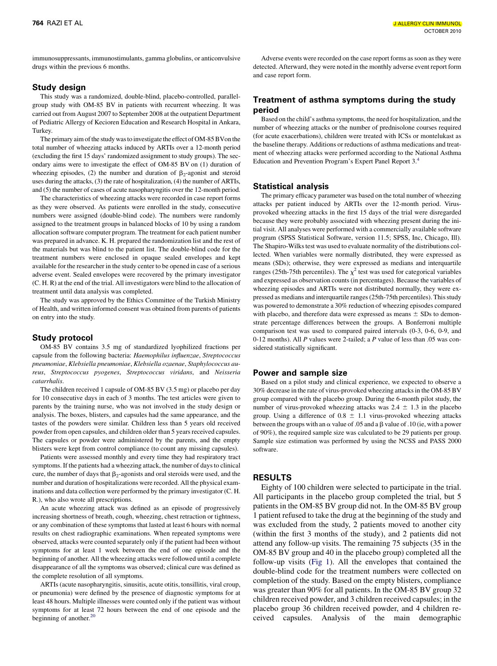immunosuppressants, immunostimulants, gamma globulins, or anticonvulsive drugs within the previous 6 months.

### Study design

This study was a randomized, double-blind, placebo-controlled, parallelgroup study with OM-85 BV in patients with recurrent wheezing. It was carried out from August 2007 to September 2008 at the outpatient Department of Pediatric Allergy of Kecioren Education and Research Hospital in Ankara, Turkey.

The primary aim of the study was to investigate the effect of OM-85 BVon the total number of wheezing attacks induced by ARTIs over a 12-month period (excluding the first 15 days' randomized assignment to study groups). The secondary aims were to investigate the effect of OM-85 BV on (1) duration of wheezing episodes, (2) the number and duration of  $\beta_2$ -agonist and steroid uses during the attacks, (3) the rate of hospitalization, (4) the number of ARTIs, and (5) the number of cases of acute nasopharyngitis over the 12-month period.

The characteristics of wheezing attacks were recorded in case report forms as they were observed. As patients were enrolled in the study, consecutive numbers were assigned (double-blind code). The numbers were randomly assigned to the treatment groups in balanced blocks of 10 by using a random allocation software computer program. The treatment for each patient number was prepared in advance. K. H. prepared the randomization list and the rest of the materials but was blind to the patient list. The double-blind code for the treatment numbers were enclosed in opaque sealed envelopes and kept available for the researcher in the study center to be opened in case of a serious adverse event. Sealed envelopes were recovered by the primary investigator (C. H. R) at the end of the trial. All investigators were blind to the allocation of treatment until data analysis was completed.

The study was approved by the Ethics Committee of the Turkish Ministry of Health, and written informed consent was obtained from parents of patients on entry into the study.

### Study protocol

OM-85 BV contains 3.5 mg of standardized lyophilized fractions per capsule from the following bacteria: Haemophilus influenzae, Streptococcus pneumoniae, Klebsiella pneumoniae, Klebsiella ozaenae, Staphylococcus aureus, Streptococcus pyogenes, Streptococcus viridans, and Neisseria catarrhalis.

The children received 1 capsule of OM-85 BV (3.5 mg) or placebo per day for 10 consecutive days in each of 3 months. The test articles were given to parents by the training nurse, who was not involved in the study design or analysis. The boxes, blisters, and capsules had the same appearance, and the tastes of the powders were similar. Children less than 5 years old received powder from open capsules, and children older than 5 years received capsules. The capsules or powder were administered by the parents, and the empty blisters were kept from control compliance (to count any missing capsules).

Patients were assessed monthly and every time they had respiratory tract symptoms. If the patients had a wheezing attack, the number of days to clinical cure, the number of days that  $\beta_2$ -agonists and oral steroids were used, and the number and duration of hospitalizations were recorded. All the physical examinations and data collection were performed by the primary investigator (C. H. R.), who also wrote all prescriptions.

An acute wheezing attack was defined as an episode of progressively increasing shortness of breath, cough, wheezing, chest retraction or tightness, or any combination of these symptoms that lasted at least 6 hours with normal results on chest radiographic examinations. When repeated symptoms were observed, attacks were counted separately only if the patient had been without symptoms for at least 1 week between the end of one episode and the beginning of another. All the wheezing attacks were followed until a complete disappearance of all the symptoms was observed; clinical cure was defined as the complete resolution of all symptoms.

ARTIs (acute nasopharyngitis, sinusitis, acute otitis, tonsillitis, viral croup, or pneumonia) were defined by the presence of diagnostic symptoms for at least 48 hours. Multiple illnesses were counted only if the patient was without symptoms for at least 72 hours between the end of one episode and the beginning of another.<sup>[20](#page-5-0)</sup>

Adverse events were recorded on the case report forms as soon as they were detected. Afterward, they were noted in the monthly adverse event report form and case report form.

## Treatment of asthma symptoms during the study period

Based on the child's asthma symptoms, the need for hospitalization, and the number of wheezing attacks or the number of prednisolone courses required (for acute exacerbations), children were treated with ICSs or montelukast as the baseline therapy. Additions or reductions of asthma medications and treatment of wheezing attacks were performed according to the National Asthma Education and Prevention Program's Expert Panel Report 3.<sup>[4](#page-5-0)</sup>

# Statistical analysis

The primary efficacy parameter was based on the total number of wheezing attacks per patient induced by ARTIs over the 12-month period. Virusprovoked wheezing attacks in the first 15 days of the trial were disregarded because they were probably associated with wheezing present during the initial visit. All analyses were performed with a commercially available software program (SPSS Statistical Software, version 11.5; SPSS, Inc, Chicago, Ill). The Shapiro-Wilks test was used to evaluate normality of the distributions collected. When variables were normally distributed, they were expressed as means (SDs); otherwise, they were expressed as medians and interquartile ranges (25th-75th percentiles). The  $\chi^2$  test was used for categorical variables and expressed as observation counts (in percentages). Because the variables of wheezing episodes and ARTIs were not distributed normally, they were expressed as medians and interquartile ranges (25th-75th percentiles). This study was powered to demonstrate a 30% reduction of wheezing episodes compared with placebo, and therefore data were expressed as means  $\pm$  SDs to demonstrate percentage differences between the groups. A Bonferroni multiple comparison test was used to compared paired intervals (0-3, 0-6, 0-9, and 0-12 months). All  $P$  values were 2-tailed; a  $P$  value of less than .05 was considered statistically significant.

### Power and sample size

Based on a pilot study and clinical experience, we expected to observe a 30% decrease in the rate of virus-provoked wheezing attacks in the OM-85 BV group compared with the placebo group. During the 6-month pilot study, the number of virus-provoked wheezing attacks was  $2.4 \pm 1.3$  in the placebo group. Using a difference of  $0.8 \pm 1.1$  virus-provoked wheezing attacks between the groups with an  $\alpha$  value of .05 and a  $\beta$  value of .10 (ie, with a power of 90%), the required sample size was calculated to be 29 patients per group. Sample size estimation was performed by using the NCSS and PASS 2000 software.

## RESULTS

Eighty of 100 children were selected to participate in the trial. All participants in the placebo group completed the trial, but 5 patients in the OM-85 BV group did not. In the OM-85 BV group 1 patient refused to take the drug at the beginning of the study and was excluded from the study, 2 patients moved to another city (within the first 3 months of the study), and 2 patients did not attend any follow-up visits. The remaining 75 subjects (35 in the OM-85 BV group and 40 in the placebo group) completed all the follow-up visits ([Fig 1](#page-2-0)). All the envelopes that contained the double-blind code for the treatment numbers were collected on completion of the study. Based on the empty blisters, compliance was greater than 90% for all patients. In the OM-85 BV group 32 children received powder, and 3 children received capsules; in the placebo group 36 children received powder, and 4 children received capsules. Analysis of the main demographic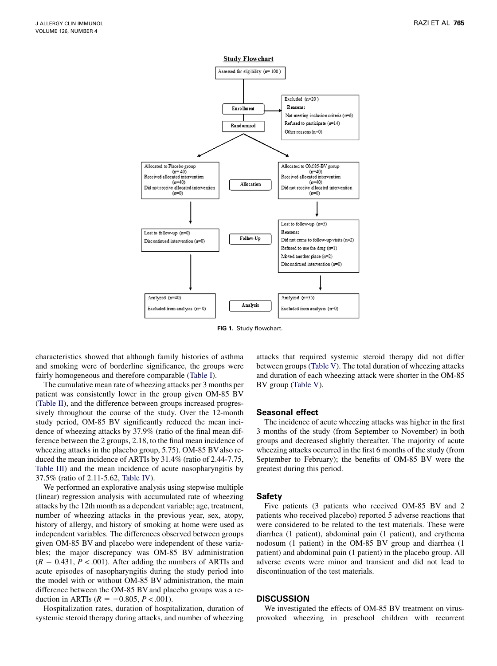<span id="page-2-0"></span>

FIG 1. Study flowchart.

characteristics showed that although family histories of asthma and smoking were of borderline significance, the groups were fairly homogeneous and therefore comparable [\(Table I](#page-3-0)).

The cumulative mean rate of wheezing attacks per 3 months per patient was consistently lower in the group given OM-85 BV ([Table II\)](#page-3-0), and the difference between groups increased progressively throughout the course of the study. Over the 12-month study period, OM-85 BV significantly reduced the mean incidence of wheezing attacks by 37.9% (ratio of the final mean difference between the 2 groups, 2.18, to the final mean incidence of wheezing attacks in the placebo group, 5.75). OM-85 BV also reduced the mean incidence of ARTIs by 31.4% (ratio of 2.44-7.75, [Table III\)](#page-4-0) and the mean incidence of acute nasopharyngitis by 37.5% (ratio of 2.11-5.62, [Table IV](#page-4-0)).

We performed an explorative analysis using stepwise multiple (linear) regression analysis with accumulated rate of wheezing attacks by the 12th month as a dependent variable; age, treatment, number of wheezing attacks in the previous year, sex, atopy, history of allergy, and history of smoking at home were used as independent variables. The differences observed between groups given OM-85 BV and placebo were independent of these variables; the major discrepancy was OM-85 BV administration  $(R = 0.431, P < .001)$ . After adding the numbers of ARTIs and acute episodes of nasopharyngitis during the study period into the model with or without OM-85 BV administration, the main difference between the OM-85 BV and placebo groups was a reduction in ARTIs ( $R = -0.805, P < .001$ ).

Hospitalization rates, duration of hospitalization, duration of systemic steroid therapy during attacks, and number of wheezing

attacks that required systemic steroid therapy did not differ between groups [\(Table V\)](#page-4-0). The total duration of wheezing attacks and duration of each wheezing attack were shorter in the OM-85 BV group [\(Table V\)](#page-4-0).

#### Seasonal effect

The incidence of acute wheezing attacks was higher in the first 3 months of the study (from September to November) in both groups and decreased slightly thereafter. The majority of acute wheezing attacks occurred in the first 6 months of the study (from September to February); the benefits of OM-85 BV were the greatest during this period.

#### Safety

Five patients (3 patients who received OM-85 BV and 2 patients who received placebo) reported 5 adverse reactions that were considered to be related to the test materials. These were diarrhea (1 patient), abdominal pain (1 patient), and erythema nodosum (1 patient) in the OM-85 BV group and diarrhea (1 patient) and abdominal pain (1 patient) in the placebo group. All adverse events were minor and transient and did not lead to discontinuation of the test materials.

### DISCUSSION

We investigated the effects of OM-85 BV treatment on virusprovoked wheezing in preschool children with recurrent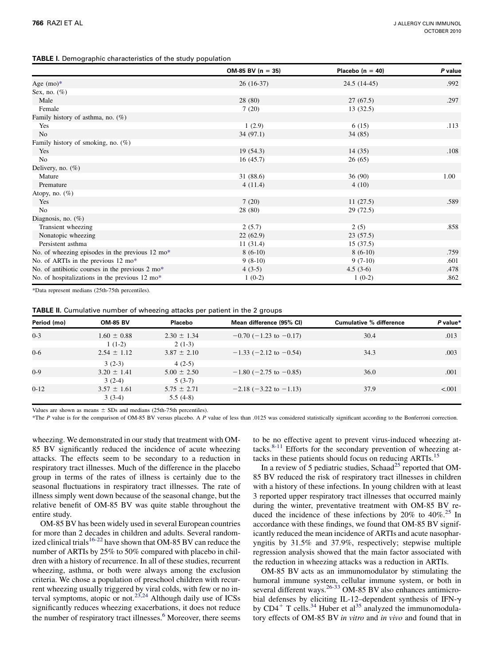<span id="page-3-0"></span>

|  | <b>TABLE I.</b> Demographic characteristics of the study population |  |  |
|--|---------------------------------------------------------------------|--|--|
|  |                                                                     |  |  |

|                                                 | $OM-85$ BV (n = 35) | Placebo $(n = 40)$ | P value |
|-------------------------------------------------|---------------------|--------------------|---------|
| Age $(mo)*$                                     | $26(16-37)$         | $24.5(14-45)$      | .992    |
| Sex, no. $(\%)$                                 |                     |                    |         |
| Male                                            | 28 (80)             | 27(67.5)           | .297    |
| Female                                          | 7(20)               | 13(32.5)           |         |
| Family history of asthma, no. (%)               |                     |                    |         |
| Yes                                             | 1(2.9)              | 6(15)              | .113    |
| No                                              | 34(97.1)            | 34(85)             |         |
| Family history of smoking, no. $(\%)$           |                     |                    |         |
| Yes                                             | 19(54.3)            | 14(35)             | .108    |
| N <sub>o</sub>                                  | 16(45.7)            | 26(65)             |         |
| Delivery, no. $(\%)$                            |                     |                    |         |
| Mature                                          | 31(88.6)            | 36(90)             | 1.00    |
| Premature                                       | 4(11.4)             | 4(10)              |         |
| Atopy, no. $(\%)$                               |                     |                    |         |
| Yes                                             | 7(20)               | 11(27.5)           | .589    |
| No                                              | 28 (80)             | 29(72.5)           |         |
| Diagnosis, no. $(\%)$                           |                     |                    |         |
| Transient wheezing                              | 2(5.7)              | 2(5)               | .858    |
| Nonatopic wheezing                              | 22(62.9)            | 23(57.5)           |         |
| Persistent asthma                               | 11(31.4)            | 15(37.5)           |         |
| No. of wheezing episodes in the previous 12 mo* | $8(6-10)$           | $8(6-10)$          | .759    |
| No. of ARTIs in the previous 12 mo*             | $9(8-10)$           | $9(7-10)$          | .601    |
| No. of antibiotic courses in the previous 2 mo* | $4(3-5)$            | $4.5(3-6)$         | .478    |
| No. of hospitalizations in the previous 12 mo*  | $1(0-2)$            | $1(0-2)$           | .862    |

\*Data represent medians (25th-75th percentiles).

| TABLE II. Cumulative number of wheezing attacks per patient in the 2 groups |  |
|-----------------------------------------------------------------------------|--|
|-----------------------------------------------------------------------------|--|

| Period (mo) | <b>OM-85 BV</b> | Placebo         | Mean difference (95% CI)       | <b>Cumulative % difference</b> | P value* |
|-------------|-----------------|-----------------|--------------------------------|--------------------------------|----------|
| $0 - 3$     | $1.60 \pm 0.88$ | $2.30 \pm 1.34$ | $-0.70$ ( $-1.23$ to $-0.17$ ) | 30.4                           | .013     |
|             | $1(1-2)$        | $2(1-3)$        |                                |                                |          |
| $0 - 6$     | $2.54 \pm 1.12$ | $3.87 \pm 2.10$ | $-1.33$ (-2.12 to -0.54)       | 34.3                           | .003     |
|             | $3(2-3)$        | $4(2-5)$        |                                |                                |          |
| $0-9$       | $3.20 \pm 1.41$ | $5.00 \pm 2.50$ | $-1.80$ (-2.75 to -0.85)       | 36.0                           | .001     |
|             | $3(2-4)$        | $5(3-7)$        |                                |                                |          |
| $0 - 12$    | $3.57 \pm 1.61$ | $5.75 \pm 2.71$ | $-2.18$ ( $-3.22$ to $-1.13$ ) | 37.9                           | < 0.001  |
|             | $3(3-4)$        | $5.5(4-8)$      |                                |                                |          |

Values are shown as means  $\pm$  SDs and medians (25th-75th percentiles).

\*The P value is for the comparison of OM-85 BV versus placebo. A P value of less than .0125 was considered statistically significant according to the Bonferroni correction.

wheezing. We demonstrated in our study that treatment with OM-85 BV significantly reduced the incidence of acute wheezing attacks. The effects seem to be secondary to a reduction in respiratory tract illnesses. Much of the difference in the placebo group in terms of the rates of illness is certainly due to the seasonal fluctuations in respiratory tract illnesses. The rate of illness simply went down because of the seasonal change, but the relative benefit of OM-85 BV was quite stable throughout the entire study.

OM-85 BV has been widely used in several European countries for more than 2 decades in children and adults. Several random-ized clinical trials<sup>[16-22](#page-5-0)</sup> have shown that OM-85 BV can reduce the number of ARTIs by 25% to 50% compared with placebo in children with a history of recurrence. In all of these studies, recurrent wheezing, asthma, or both were always among the exclusion criteria. We chose a population of preschool children with recurrent wheezing usually triggered by viral colds, with few or no in-terval symptoms, atopic or not.<sup>[23,24](#page-5-0)</sup> Although daily use of ICSs significantly reduces wheezing exacerbations, it does not reduce the number of respiratory tract illnesses.<sup>[6](#page-5-0)</sup> Moreover, there seems

to be no effective agent to prevent virus-induced wheezing at-tacks.<sup>[8-11](#page-5-0)</sup> Efforts for the secondary prevention of wheezing attacks in these patients should focus on reducing ARTIs[.15](#page-5-0)

In a review of 5 pediatric studies, Schaad<sup>[25](#page-5-0)</sup> reported that OM-85 BV reduced the risk of respiratory tract illnesses in children with a history of these infections. In young children with at least 3 reported upper respiratory tract illnesses that occurred mainly during the winter, preventative treatment with OM-85 BV reduced the incidence of these infections by  $20\%$  to  $40\%$ <sup>[25](#page-5-0)</sup> In accordance with these findings, we found that OM-85 BV significantly reduced the mean incidence of ARTIs and acute nasopharyngitis by 31.5% and 37.9%, respectively; stepwise multiple regression analysis showed that the main factor associated with the reduction in wheezing attacks was a reduction in ARTIs.

OM-85 BV acts as an immunomodulator by stimulating the humoral immune system, cellular immune system, or both in several different ways.<sup>26-33</sup> OM-85 BV also enhances antimicrobial defenses by eliciting IL-12–dependent synthesis of IFN- $\gamma$  by CD4<sup>+</sup> T cells.<sup>34</sup> Huber et al<sup>[35](#page-6-0)</sup> analyzed the immunomodulatory effects of OM-85 BV in vitro and in vivo and found that in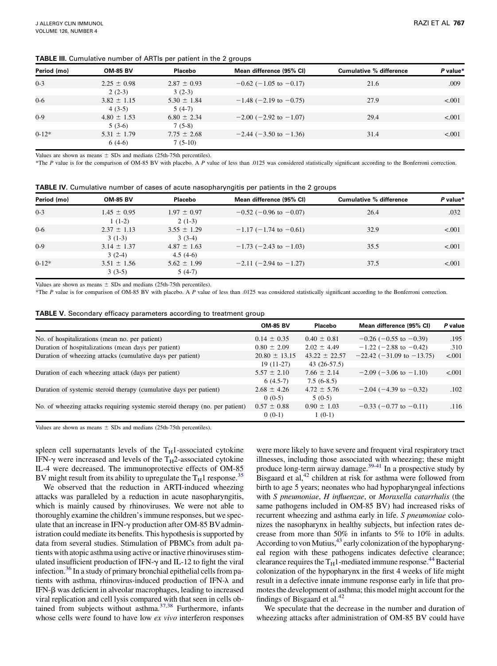#### <span id="page-4-0"></span>TABLE III. Cumulative number of ARTIs per patient in the 2 groups

| Period (mo) | <b>OM-85 BV</b> | Placebo         | Mean difference (95% CI)       | <b>Cumulative % difference</b> | P value* |
|-------------|-----------------|-----------------|--------------------------------|--------------------------------|----------|
| $0 - 3$     | $2.25 \pm 0.98$ | $2.87 \pm 0.93$ | $-0.62$ (-1.05 to -0.17)       | 21.6                           | .009     |
|             | $2(2-3)$        | $3(2-3)$        |                                |                                |          |
| $0 - 6$     | $3.82 \pm 1.15$ | $5.30 \pm 1.84$ | $-1.48$ (-2.19 to -0.75)       | 27.9                           | < 0.001  |
|             | $4(3-5)$        | $5(4-7)$        |                                |                                |          |
| $0 - 9$     | $4.80 \pm 1.53$ | $6.80 \pm 2.34$ | $-2.00$ ( $-2.92$ to $-1.07$ ) | 29.4                           | < 0.001  |
|             | $5(3-6)$        | $7(5-8)$        |                                |                                |          |
| $0-12*$     | $5.31 \pm 1.79$ | $7.75 \pm 2.68$ | $-2.44$ ( $-3.50$ to $-1.36$ ) | 31.4                           | < 0.001  |
|             | $6(4-6)$        | $7(5-10)$       |                                |                                |          |

Values are shown as means  $\pm$  SDs and medians (25th-75th percentiles).

\*The P value is for the comparison of OM-85 BV with placebo. A P value of less than .0125 was considered statistically significant according to the Bonferroni correction.

| <b>TABLE IV.</b> Cumulative number of cases of acute nasopharyngitis per patients in the 2 groups |  |
|---------------------------------------------------------------------------------------------------|--|
|---------------------------------------------------------------------------------------------------|--|

| Period (mo) | <b>OM-85 BV</b> | Placebo         | Mean difference (95% CI) | <b>Cumulative % difference</b> | P value* |
|-------------|-----------------|-----------------|--------------------------|--------------------------------|----------|
| $0 - 3$     | $1.45 \pm 0.95$ | $1.97 \pm 0.97$ | $-0.52$ (-0.96 to -0.07) | 26.4                           | .032     |
|             | $1(1-2)$        | $2(1-3)$        |                          |                                |          |
| $0 - 6$     | $2.37 \pm 1.13$ | $3.55 \pm 1.29$ | $-1.17$ (-1.74 to -0.61) | 32.9                           | < 0.001  |
|             | $3(1-3)$        | $3(3-4)$        |                          |                                |          |
| $0 - 9$     | $3.14 \pm 1.37$ | $4.87 \pm 1.63$ | $-1.73$ (-2.43 to -1.03) | 35.5                           | < 0.001  |
|             | $3(2-4)$        | $4.5(4-6)$      |                          |                                |          |
| $0-12*$     | $3.51 \pm 1.56$ | $5.62 \pm 1.99$ | $-2.11$ (-2.94 to -1.27) | 37.5                           | < 0.001  |
|             | $3(3-5)$        | $5(4-7)$        |                          |                                |          |

Values are shown as means  $\pm$  SDs and medians (25th-75th percentiles).

\*The P value is for comparison of OM-85 BV with placebo. A P value of less than .0125 was considered statistically significant according to the Bonferroni correction.

|  | <b>TABLE V.</b> Secondary efficacy parameters according to treatment group |  |  |  |  |  |
|--|----------------------------------------------------------------------------|--|--|--|--|--|
|--|----------------------------------------------------------------------------|--|--|--|--|--|

|                                                                              | <b>OM-85 BV</b>   | Placebo           | Mean difference (95% CI)          | P value |
|------------------------------------------------------------------------------|-------------------|-------------------|-----------------------------------|---------|
| No. of hospitalizations (mean no. per patient)                               | $0.14 \pm 0.35$   | $0.40 \pm 0.81$   | $-0.26$ ( $-0.55$ to $-0.39$ )    | .195    |
| Duration of hospitalizations (mean days per patient)                         | $0.80 \pm 2.09$   | $2.02 \pm 4.49$   | $-1.22$ (-2.88 to -0.42)          | .310    |
| Duration of wheezing attacks (cumulative days per patient)                   | $20.80 \pm 13.15$ | $43.22 \pm 22.57$ | $-22.42$ ( $-31.09$ to $-13.75$ ) | < 0.001 |
|                                                                              | $19(11-27)$       | $43(26-57.5)$     |                                   |         |
| Duration of each wheezing attack (days per patient)                          | $5.57 \pm 2.10$   | $7.66 \pm 2.14$   | $-2.09$ ( $-3.06$ to $-1.10$ )    | < 0.001 |
|                                                                              | $6(4.5-7)$        | $7.5(6-8.5)$      |                                   |         |
| Duration of systemic steroid therapy (cumulative days per patient)           | $2.68 \pm 4.26$   | $4.72 \pm 5.76$   | $-2.04$ (-4.39 to -0.32)          | .102    |
|                                                                              | $0(0-5)$          | $5(0-5)$          |                                   |         |
| No. of wheezing attacks requiring systemic steroid therapy (no. per patient) | $0.57 \pm 0.88$   | $0.90 \pm 1.03$   | $-0.33$ (-0.77 to -0.11)          | .116    |
|                                                                              | $0(0-1)$          | $1(0-1)$          |                                   |         |

Values are shown as means  $\pm$  SDs and medians (25th-75th percentiles).

spleen cell supernatants levels of the  $T_H$ 1-associated cytokine IFN- $\gamma$  were increased and levels of the T<sub>H</sub>2-associated cytokine IL-4 were decreased. The immunoprotective effects of OM-85 BV might result from its ability to upregulate the  $T_H1$  response.<sup>[35](#page-6-0)</sup>

We observed that the reduction in ARTI-induced wheezing attacks was paralleled by a reduction in acute nasopharyngitis, which is mainly caused by rhinoviruses. We were not able to thoroughly examine the children's immune responses, but we speculate that an increase in IFN- $\gamma$  production after OM-85 BV administration could mediate its benefits. This hypothesis is supported by data from several studies. Stimulation of PBMCs from adult patients with atopic asthma using active or inactive rhinoviruses stimulated insufficient production of IFN- $\gamma$  and IL-12 to fight the viral infection.<sup>36</sup> In a study of primary bronchial epithelial cells from patients with asthma, rhinovirus-induced production of IFN- $\lambda$  and IFN-b was deficient in alveolar macrophages, leading to increased viral replication and cell lysis compared with that seen in cells obtained from subjects without asthma. $37,38$  Furthermore, infants whose cells were found to have low ex vivo interferon responses

were more likely to have severe and frequent viral respiratory tract illnesses, including those associated with wheezing; these might produce long-term airway damage.<sup>39-41</sup> In a prospective study by Bisgaard et al, $42$  children at risk for asthma were followed from birth to age 5 years; neonates who had hypopharyngeal infections with S pneumoniae, H influenzae, or Moraxella catarrhalis (the same pathogens included in OM-85 BV) had increased risks of recurrent wheezing and asthma early in life. S pneumoniae colonizes the nasopharynx in healthy subjects, but infection rates decrease from more than 50% in infants to 5% to 10% in adults. According to von Mutius,  $43$  early colonization of the hypopharyngeal region with these pathogens indicates defective clearance; clearance requires the  $T_H1$ -mediated immune response.<sup>[44](#page-6-0)</sup> Bacterial colonization of the hypopharynx in the first 4 weeks of life might result in a defective innate immune response early in life that promotes the development of asthma; this model might account for the findings of Bisgaard et al.<sup>42</sup>

We speculate that the decrease in the number and duration of wheezing attacks after administration of OM-85 BV could have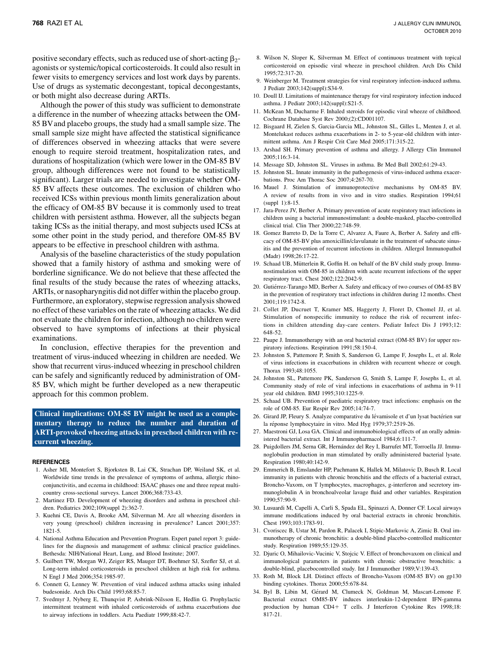<span id="page-5-0"></span>positive secondary effects, such as reduced use of short-acting  $\beta_2$ agonists or systemic/topical corticosteroids. It could also result in fewer visits to emergency services and lost work days by parents. Use of drugs as systematic decongestant, topical decongestants, or both might also decrease during ARTIs.

Although the power of this study was sufficient to demonstrate a difference in the number of wheezing attacks between the OM-85 BVand placebo groups, the study had a small sample size. The small sample size might have affected the statistical significance of differences observed in wheezing attacks that were severe enough to require steroid treatment, hospitalization rates, and durations of hospitalization (which were lower in the OM-85 BV group, although differences were not found to be statistically significant). Larger trials are needed to investigate whether OM-85 BV affects these outcomes. The exclusion of children who received ICSs within previous month limits generalization about the efficacy of OM-85 BV because it is commonly used to treat children with persistent asthma. However, all the subjects began taking ICSs as the initial therapy, and most subjects used ICSs at some other point in the study period, and therefore OM-85 BV appears to be effective in preschool children with asthma.

Analysis of the baseline characteristics of the study population showed that a family history of asthma and smoking were of borderline significance. We do not believe that these affected the final results of the study because the rates of wheezing attacks, ARTIs, or nasopharyngitis did not differ within the placebo group. Furthermore, an exploratory, stepwise regression analysis showed no effect of these variables on the rate of wheezing attacks. We did not evaluate the children for infection, although no children were observed to have symptoms of infections at their physical examinations.

In conclusion, effective therapies for the prevention and treatment of virus-induced wheezing in children are needed. We show that recurrent virus-induced wheezing in preschool children can be safely and significantly reduced by administration of OM-85 BV, which might be further developed as a new therapeutic approach for this common problem.

Clinical implications: OM-85 BV might be used as a complementary therapy to reduce the number and duration of ARTI-provoked wheezing attacks in preschool children with recurrent wheezing.

#### REFERENCES

- 1. Asher MI, Montefort S, Bjorksten B, Lai CK, Strachan DP, Weiland SK, et al. Worldwide time trends in the prevalence of symptoms of asthma, allergic rhinoconjunctivitis, and eczema in childhood: ISAAC phases one and three repeat multicountry cross-sectional surveys. Lancet 2006;368:733-43.
- 2. Martinez FD. Development of wheezing disorders and asthma in preschool children. Pediatrics 2002;109(suppl 2):362-7.
- 3. Kuehni CE, Davis A, Brooke AM, Silverman M. Are all wheezing disorders in very young (preschool) children increasing in prevalence? Lancet 2001;357: 1821-5.
- 4. National Asthma Education and Prevention Program. Expert panel report 3: guidelines for the diagnosis and management of asthma: clinical practice guidelines. Bethesda: NIH/National Heart, Lung, and Blood Institute; 2007.
- 5. Guilbert TW, Morgan WJ, Zeiger RS, Mauger DT, Boehmer SJ, Szefler SJ, et al. Long-term inhaled corticosteroids in preschool children at high risk for asthma. N Engl J Med 2006;354:1985-97.
- 6. Connett G, Lenney W. Prevention of viral induced asthma attacks using inhaled budesonide. Arch Dis Child 1993;68:85-7.
- 7. Svedmyr J, Nyberg E, Thunqvist P, Asbrink-Nilsson E, Hedlin G. Prophylactic intermittent treatment with inhaled corticosteroids of asthma exacerbations due to airway infections in toddlers. Acta Paediatr 1999;88:42-7.
- 8. Wilson N, Sloper K, Silverman M. Effect of continuous treatment with topical corticosteroid on episodic viral wheeze in preschool children. Arch Dis Child 1995;72:317-20.
- 9. Weinberger M. Treatment strategies for viral respiratory infection-induced asthma. J Pediatr 2003;142(suppl):S34-9.
- 10. Doull IJ. Limitations of maintenance therapy for viral respiratory infection induced asthma. J Pediatr 2003;142(suppl):S21-5.
- 11. McKean M, Ducharme F. Inhaled steroids for episodic viral wheeze of childhood. Cochrane Database Syst Rev 2000;(2):CD001107.
- 12. Bisgaard H, Zielen S, Garcia-Garcia ML, Johnston SL, Gilles L, Menten J, et al. Montelukast reduces asthma exacerbations in 2- to 5-year-old children with intermittent asthma. Am J Respir Crit Care Med 2005;171:315-22.
- 13. Arshad SH. Primary prevention of asthma and allergy. J Allergy Clin Immunol 2005;116:3-14.
- 14. Message SD, Johnston SL. Viruses in asthma. Br Med Bull 2002;61:29-43.
- 15. Johnston SL. Innate immunity in the pathogenesis of virus-induced asthma exacerbations. Proc Am Thorac Soc 2007;4:267-70.
- 16. Mauel J. Stimulation of immunoprotective mechanisms by OM-85 BV. A review of results from in vivo and in vitro studies. Respiration 1994;61 (suppl 1):8-15.
- 17. Jara-Perez JV, Berber A. Primary prevention of acute respiratory tract infections in children using a bacterial immunostimulant: a double-masked, placebo-controlled clinical trial. Clin Ther 2000;22:748-59.
- 18. Gomez Barreto D, De la Torre C, Alvarez A, Faure A, Berber A. Safety and efficacy of OM-85-BV plus amoxicillin/clavulanate in the treatment of subacute sinusitis and the prevention of recurrent infections in children. Allergol Immunopathol (Madr) 1998;26:17-22.
- 19. Schaad UB, Mütterlein R, Goffin H. on behalf of the BV child study group. Immunostimulation with OM-85 in children with acute recurrent infections of the upper respiratory tract. Chest 2002;122:2042-9.
- 20. Gutiérrez-Tarango MD, Berber A. Safety and efficacy of two courses of OM-85 BV in the prevention of respiratory tract infections in children during 12 months. Chest 2001;119:1742-8.
- 21. Collet JP, Ducruet T, Kramer MS, Haggerty J, Floret D, Chomel JJ, et al. Stimulation of nonspecific immunity to reduce the risk of recurrent infections in children attending day-care centers. Pediatr Infect Dis J 1993;12: 648-52.
- 22. Paupe J. Immunotherapy with an oral bacterial extract (OM-85 BV) for upper respiratory infections. Respiration 1991;58:150-4.
- 23. Johnston S, Pattemore P, Smith S, Sanderson G, Lampe F, Josephs L, et al. Role of virus infections in exacerbations in children with recurrent wheeze or cough. Thorax 1993;48:1055.
- 24. Johnston SL, Pattemore PK, Sanderson G, Smith S, Lampe F, Josephs L, et al. Community study of role of viral infections in exacerbations of asthma in 9-11 year old children. BMJ 1995;310:1225-9.
- 25. Schaad UB. Prevention of paediatric respiratory tract infections: emphasis on the role of OM-85. Eur Respir Rev 2005;14:74-7.
- 26. Girard JP, Fleury S. Analyze comparative du lévamisole et d'un lysat bactérien sur la réponse lymphocytaire in vitro. Med Hyg 1979;37:2519-26.
- 27. Maestroni GJ, Losa GA. Clinical and immunobiological effects of an orally administered bacterial extract. Int J Immunopharmacol 1984;6:111-7.
- 28. Puigdollers JM, Serna GR, Hernández del Rey I, Barrufet MT, Torroella JJ. Immunoglobulin production in man stimulated by orally administered bacterial lysate. Respiration 1980;40:142-9.
- 29. Emmerich B, Emslander HP, Pachmann K, Hallek M, Milatovic D, Busch R. Local immunity in patients with chronic bronchitis and the effects of a bacterial extract, Broncho-Vaxom, on T lymphocytes, macrophages, g-interferon and secretory immunoglobulin A in bronchoalveolar lavage fluid and other variables. Respiration 1990;57:90-9.
- 30. Lusuardi M, Capelli A, Carli S, Spada EL, Spinazzi A, Donner CF. Local airways immune modifications induced by oral bacterial extracts in chronic bronchitis. Chest 1993;103:1783-91.
- 31. Cvoriscec B, Ustar M, Pardon R, Palacek I, Stipic-Markovic A, Zimic B. Oral immunotherapy of chronic bronchitis: a double-blind placebo-controlled multicenter study. Respiration 1989;55:129-35.
- 32. Djuric O, Mihailovic-Vucinic V, Stojcic V. Effect of bronchovaxom on clinical and immunological parameters in patients with chronic obstructive bronchitis: a double-blind, placebocontrolled study. Int J Immunother 1989;V:139-43.
- 33. Roth M, Block LH. Distinct effects of Broncho-Vaxom (OM-85 BV) on gp130 binding cytokines. Thorax 2000;55:678-84.
- 34. Byl B, Libin M, Gérard M, Clumeck N, Goldman M, Mascart-Lemone F. Bacterial extract OM85-BV induces interleukin-12-dependent IFN-gamma production by human CD4+ T cells. J Interferon Cytokine Res 1998;18: 817-21.